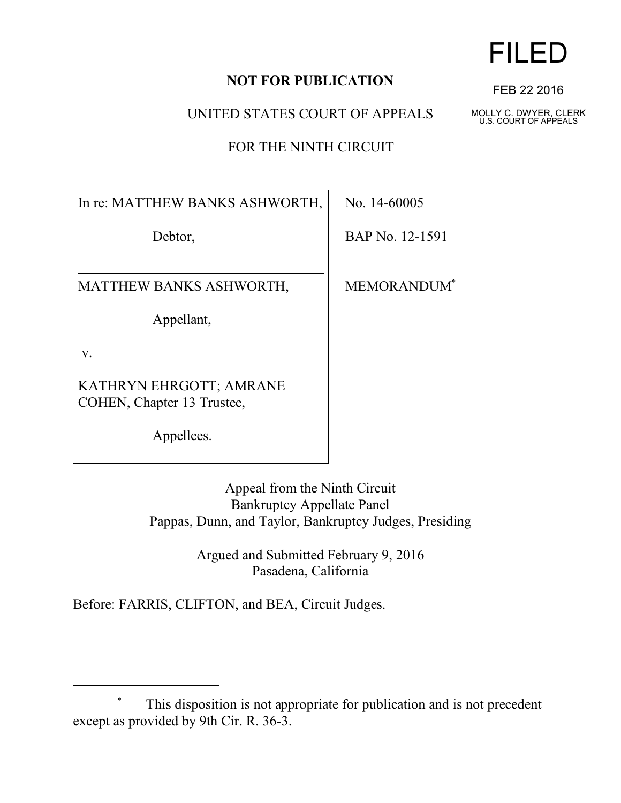## **NOT FOR PUBLICATION**

UNITED STATES COURT OF APPEALS

FOR THE NINTH CIRCUIT

In re: MATTHEW BANKS ASHWORTH,

Debtor,

MATTHEW BANKS ASHWORTH,

Appellant,

v.

KATHRYN EHRGOTT; AMRANE COHEN, Chapter 13 Trustee,

Appellees.

No. 14-60005

BAP No. 12-1591

MEMORANDUM\*

Appeal from the Ninth Circuit Bankruptcy Appellate Panel Pappas, Dunn, and Taylor, Bankruptcy Judges, Presiding

> Argued and Submitted February 9, 2016 Pasadena, California

Before: FARRIS, CLIFTON, and BEA, Circuit Judges.



FEB 22 2016

MOLLY C. DWYER, CLERK U.S. COURT OF APPEALS

This disposition is not appropriate for publication and is not precedent except as provided by 9th Cir. R. 36-3.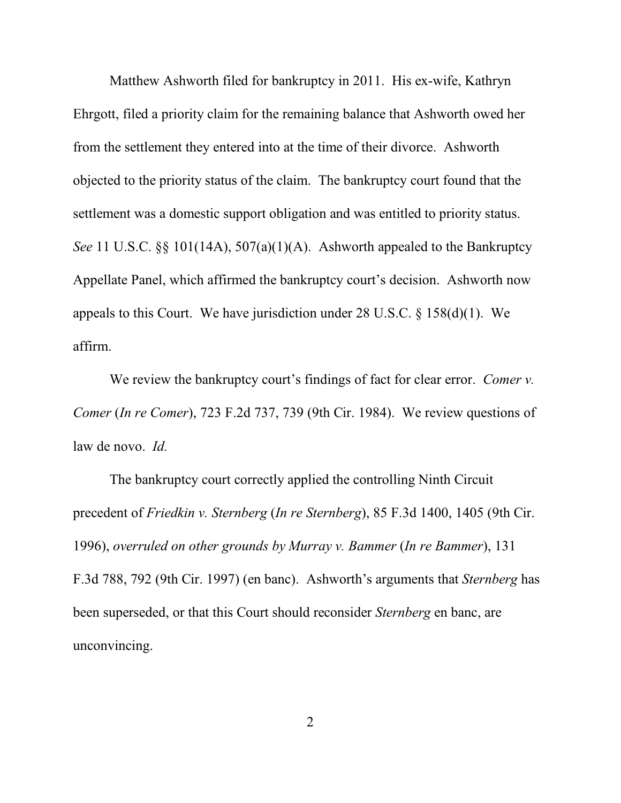Matthew Ashworth filed for bankruptcy in 2011. His ex-wife, Kathryn Ehrgott, filed a priority claim for the remaining balance that Ashworth owed her from the settlement they entered into at the time of their divorce. Ashworth objected to the priority status of the claim. The bankruptcy court found that the settlement was a domestic support obligation and was entitled to priority status. *See* 11 U.S.C. §§ 101(14A), 507(a)(1)(A). Ashworth appealed to the Bankruptcy Appellate Panel, which affirmed the bankruptcy court's decision. Ashworth now appeals to this Court. We have jurisdiction under  $28 \text{ U.S.C.} \$   $\frac{158(d)(1)}{106}$ . We affirm.

We review the bankruptcy court's findings of fact for clear error. *Comer v. Comer* (*In re Comer*), 723 F.2d 737, 739 (9th Cir. 1984). We review questions of law de novo. *Id.*

The bankruptcy court correctly applied the controlling Ninth Circuit precedent of *Friedkin v. Sternberg* (*In re Sternberg*), 85 F.3d 1400, 1405 (9th Cir. 1996), *overruled on other grounds by Murray v. Bammer* (*In re Bammer*), 131 F.3d 788, 792 (9th Cir. 1997) (en banc). Ashworth's arguments that *Sternberg* has been superseded, or that this Court should reconsider *Sternberg* en banc, are unconvincing.